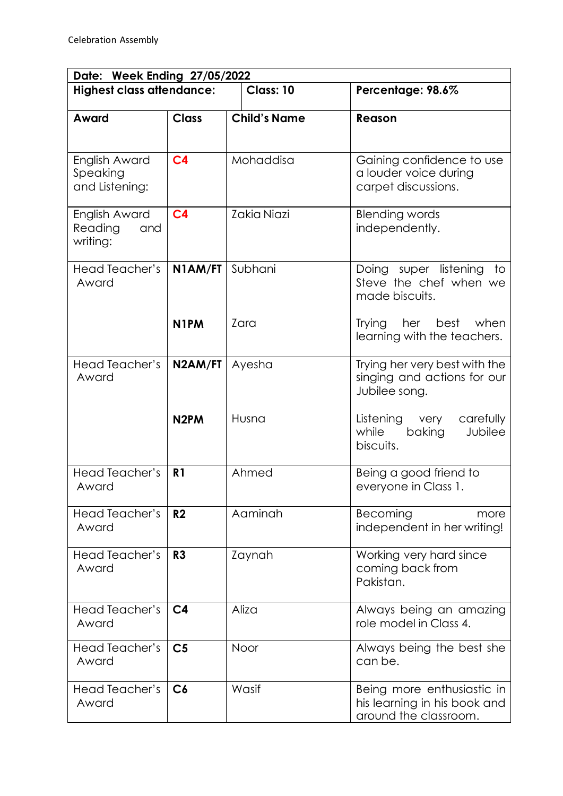| Date: Week Ending 27/05/2022                |                   |                     |                                                                                     |  |  |
|---------------------------------------------|-------------------|---------------------|-------------------------------------------------------------------------------------|--|--|
| <b>Highest class attendance:</b>            |                   | Class: 10           | Percentage: 98.6%                                                                   |  |  |
| Award                                       | <b>Class</b>      | <b>Child's Name</b> | Reason                                                                              |  |  |
| English Award<br>Speaking<br>and Listening: | C <sub>4</sub>    | Mohaddisa           | Gaining confidence to use<br>a louder voice during<br>carpet discussions.           |  |  |
| English Award<br>Reading<br>and<br>writing: | C <sub>4</sub>    | Zakia Niazi         | <b>Blending words</b><br>independently.                                             |  |  |
| <b>Head Teacher's</b><br>Award              | N1AM/FT           | Subhani             | Doing super listening<br>to<br>Steve the chef when we<br>made biscuits.             |  |  |
|                                             | N <sub>1</sub> PM | Zara                | Trying her<br>best when<br>learning with the teachers.                              |  |  |
| Head Teacher's<br>Award                     | N2AM/FT           | Ayesha              | Trying her very best with the<br>singing and actions for our<br>Jubilee song.       |  |  |
|                                             | N <sub>2</sub> PM | Husna               | Listening<br>very<br>carefully<br>while<br>Jubilee<br>baking<br>biscuits.           |  |  |
| <b>Head Teacher's</b><br>Award              | R <sub>1</sub>    | Ahmed               | Being a good friend to<br>everyone in Class 1.                                      |  |  |
| Head Teacher's<br>Award                     | R <sub>2</sub>    | Aaminah             | Becoming<br>more<br>independent in her writing!                                     |  |  |
| Head Teacher's<br>Award                     | R <sub>3</sub>    | Zaynah              | Working very hard since<br>coming back from<br>Pakistan.                            |  |  |
| Head Teacher's<br>Award                     | C <sub>4</sub>    | Aliza               | Always being an amazing<br>role model in Class 4.                                   |  |  |
| Head Teacher's<br>Award                     | C <sub>5</sub>    | Noor                | Always being the best she<br>can be.                                                |  |  |
| Head Teacher's<br>Award                     | C6                | Wasif               | Being more enthusiastic in<br>his learning in his book and<br>around the classroom. |  |  |